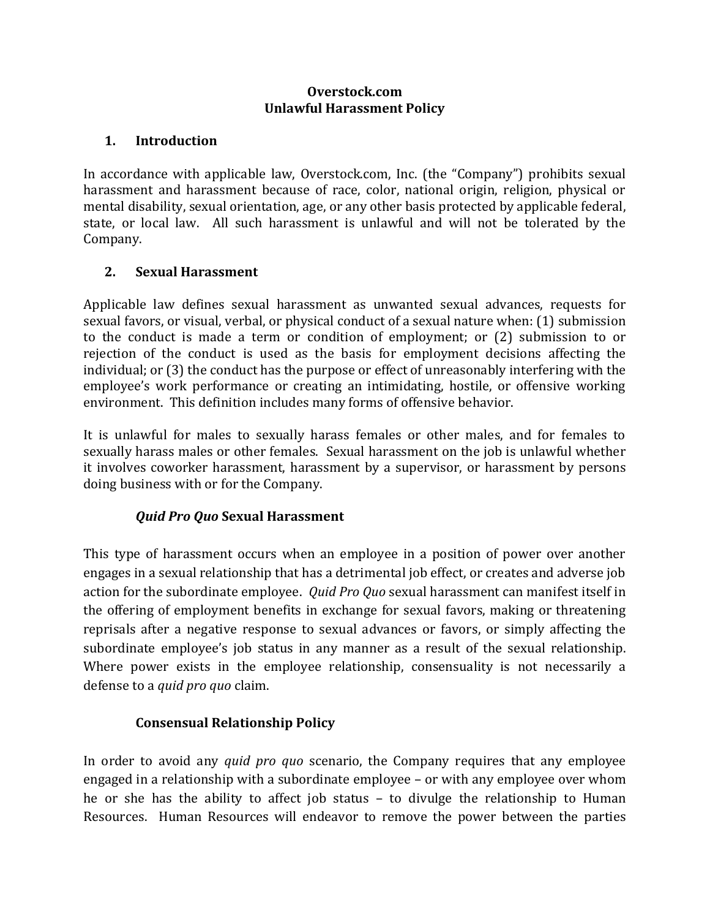#### **Overstock.com Unlawful Harassment Policy**

#### **1. Introduction**

In accordance with applicable law, Overstock.com, Inc. (the "Company") prohibits sexual harassment and harassment because of race, color, national origin, religion, physical or mental disability, sexual orientation, age, or any other basis protected by applicable federal, state, or local law. All such harassment is unlawful and will not be tolerated by the Company.

#### **2. Sexual Harassment**

Applicable law defines sexual harassment as unwanted sexual advances, requests for sexual favors, or visual, verbal, or physical conduct of a sexual nature when: (1) submission to the conduct is made a term or condition of employment; or (2) submission to or rejection of the conduct is used as the basis for employment decisions affecting the individual; or (3) the conduct has the purpose or effect of unreasonably interfering with the employee's work performance or creating an intimidating, hostile, or offensive working environment. This definition includes many forms of offensive behavior.

It is unlawful for males to sexually harass females or other males, and for females to sexually harass males or other females. Sexual harassment on the job is unlawful whether it involves coworker harassment, harassment by a supervisor, or harassment by persons doing business with or for the Company.

# *Quid Pro Quo* **Sexual Harassment**

This type of harassment occurs when an employee in a position of power over another engages in a sexual relationship that has a detrimental job effect, or creates and adverse job action for the subordinate employee. *Quid Pro Quo* sexual harassment can manifest itself in the offering of employment benefits in exchange for sexual favors, making or threatening reprisals after a negative response to sexual advances or favors, or simply affecting the subordinate employee's job status in any manner as a result of the sexual relationship. Where power exists in the employee relationship, consensuality is not necessarily a defense to a *quid pro quo* claim.

# **Consensual Relationship Policy**

In order to avoid any *quid pro quo* scenario, the Company requires that any employee engaged in a relationship with a subordinate employee – or with any employee over whom he or she has the ability to affect job status – to divulge the relationship to Human Resources. Human Resources will endeavor to remove the power between the parties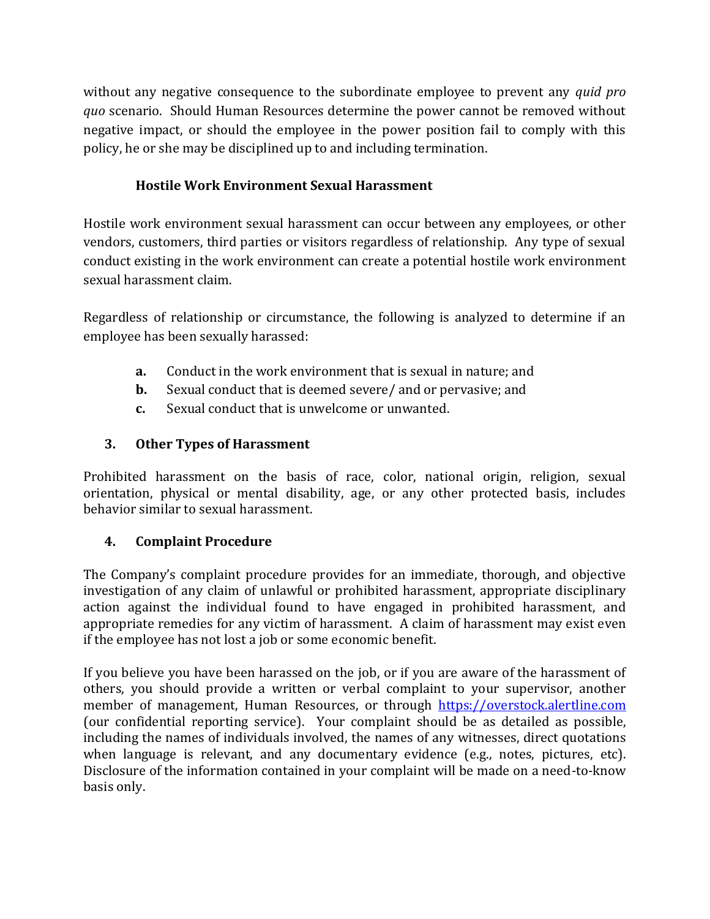without any negative consequence to the subordinate employee to prevent any *quid pro quo* scenario. Should Human Resources determine the power cannot be removed without negative impact, or should the employee in the power position fail to comply with this policy, he or she may be disciplined up to and including termination.

# **Hostile Work Environment Sexual Harassment**

Hostile work environment sexual harassment can occur between any employees, or other vendors, customers, third parties or visitors regardless of relationship. Any type of sexual conduct existing in the work environment can create a potential hostile work environment sexual harassment claim.

Regardless of relationship or circumstance, the following is analyzed to determine if an employee has been sexually harassed:

- **a.** Conduct in the work environment that is sexual in nature; and
- **b.** Sexual conduct that is deemed severe/ and or pervasive; and
- **c.** Sexual conduct that is unwelcome or unwanted.

### **3. Other Types of Harassment**

Prohibited harassment on the basis of race, color, national origin, religion, sexual orientation, physical or mental disability, age, or any other protected basis, includes behavior similar to sexual harassment.

# **4. Complaint Procedure**

The Company's complaint procedure provides for an immediate, thorough, and objective investigation of any claim of unlawful or prohibited harassment, appropriate disciplinary action against the individual found to have engaged in prohibited harassment, and appropriate remedies for any victim of harassment. A claim of harassment may exist even if the employee has not lost a job or some economic benefit.

If you believe you have been harassed on the job, or if you are aware of the harassment of others, you should provide a written or verbal complaint to your supervisor, another member of management, Human Resources, or through [https://overstock.alertline.com](https://overstock.alertline.com/) (our confidential reporting service). Your complaint should be as detailed as possible, including the names of individuals involved, the names of any witnesses, direct quotations when language is relevant, and any documentary evidence (e.g., notes, pictures, etc). Disclosure of the information contained in your complaint will be made on a need-to-know basis only.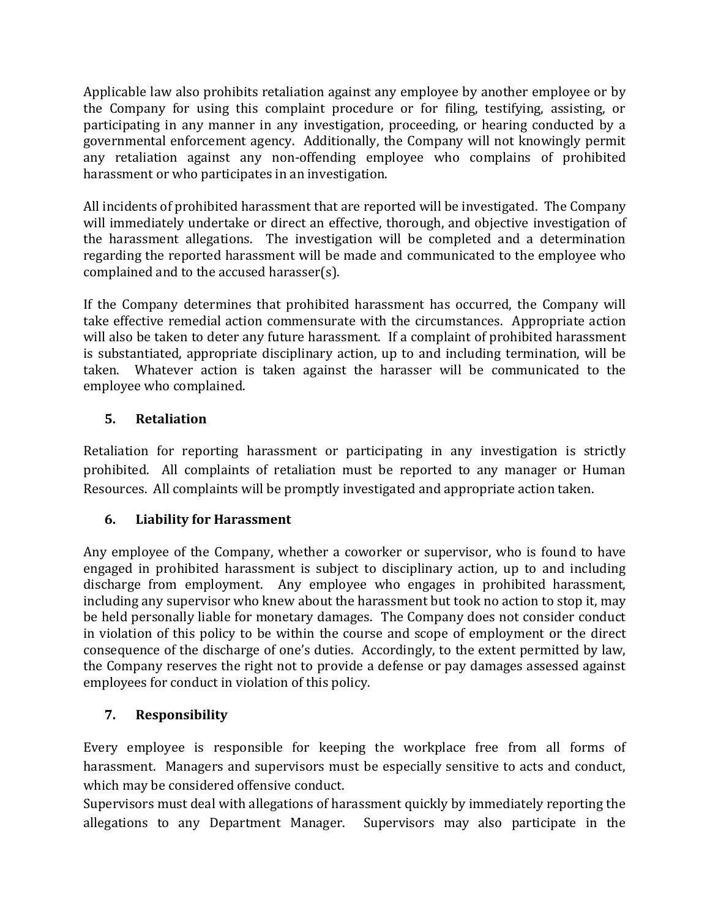Applicable law also prohibits retaliation against any employee by another employee or by the Company for using this complaint procedure or for filing, testifying, assisting, or participating in any manner in any investigation, proceeding, or hearing conducted by a governmental enforcement agency. Additionally, the Company will not knowingly permit any retaliation against any non-offending employee who complains of prohibited harassment or who participates in an investigation.

All incidents of prohibited harassment that are reported will be investigated. The Company will immediately undertake or direct an effective, thorough, and objective investigation of the harassment allegations. The investigation will be completed and a determination regarding the reported harassment will be made and communicated to the employee who complained and to the accused harasser(s).

If the Company determines that prohibited harassment has occurred, the Company will take effective remedial action commensurate with the circumstances. Appropriate action will also be taken to deter any future harassment. If a complaint of prohibited harassment is substantiated, appropriate disciplinary action, up to and including termination, will be taken. Whatever action is taken against the harasser will be communicated to the employee who complained.

# **5. Retaliation**

Retaliation for reporting harassment or participating in any investigation is strictly prohibited. All complaints of retaliation must be reported to any manager or Human Resources. All complaints will be promptly investigated and appropriate action taken.

# **6. Liability for Harassment**

Any employee of the Company, whether a coworker or supervisor, who is found to have engaged in prohibited harassment is subject to disciplinary action, up to and including discharge from employment. Any employee who engages in prohibited harassment, including any supervisor who knew about the harassment but took no action to stop it, may be held personally liable for monetary damages. The Company does not consider conduct in violation of this policy to be within the course and scope of employment or the direct consequence of the discharge of one's duties. Accordingly, to the extent permitted by law, the Company reserves the right not to provide a defense or pay damages assessed against employees for conduct in violation of this policy.

# **7. Responsibility**

Every employee is responsible for keeping the workplace free from all forms of harassment. Managers and supervisors must be especially sensitive to acts and conduct, which may be considered offensive conduct.

Supervisors must deal with allegations of harassment quickly by immediately reporting the allegations to any Department Manager. Supervisors may also participate in the